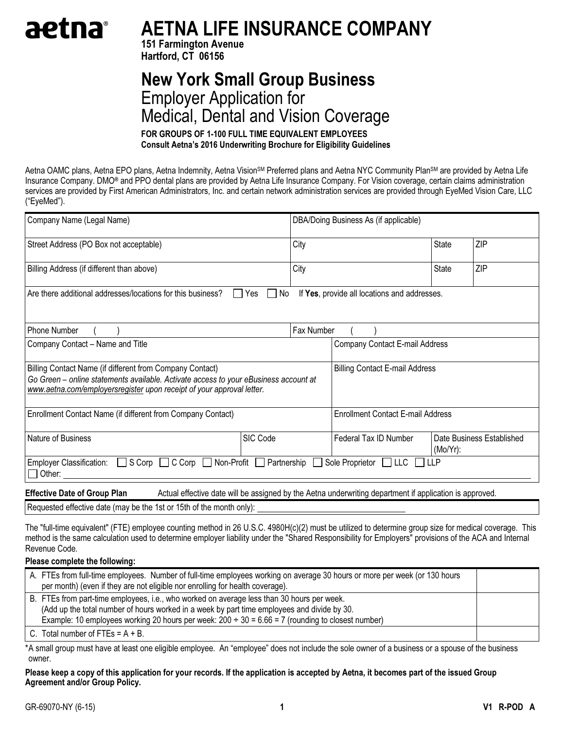# aetna®

# AETNA LIFE INSURANCE COMPANY

151 Farmington Avenue Hartford, CT 06156

# New York Small Group Business Employer Application for Medical, Dental and Vision Coverage

FOR GROUPS OF 1-100 FULL TIME EQUIVALENT EMPLOYEES Consult Aetna's 2016 Underwriting Brochure for Eligibility Guidelines

Aetna OAMC plans, Aetna EPO plans, Aetna Indemnity, Aetna Vision<sup>sm</sup> Preferred plans and Aetna NYC Community Plan<sup>sm</sup> are provided by Aetna Life Insurance Company. DMO® and PPO dental plans are provided by Aetna Life Insurance Company. For Vision coverage, certain claims administration services are provided by First American Administrators, Inc. and certain network administration services are provided through EyeMed Vision Care, LLC ("EyeMed").

| Company Name (Legal Name)                                                                                                                                                                                                 |           | DBA/Doing Business As (if applicable) |                                                                                                         |              |                           |
|---------------------------------------------------------------------------------------------------------------------------------------------------------------------------------------------------------------------------|-----------|---------------------------------------|---------------------------------------------------------------------------------------------------------|--------------|---------------------------|
| Street Address (PO Box not acceptable)                                                                                                                                                                                    |           | City                                  |                                                                                                         | State        | ZIP                       |
| Billing Address (if different than above)                                                                                                                                                                                 |           | City                                  |                                                                                                         | <b>State</b> | ZIP                       |
| Are there additional addresses/locations for this business?                                                                                                                                                               | Yes<br>No |                                       | If Yes, provide all locations and addresses.                                                            |              |                           |
| <b>Phone Number</b>                                                                                                                                                                                                       |           | Fax Number                            |                                                                                                         |              |                           |
| Company Contact - Name and Title                                                                                                                                                                                          |           |                                       | Company Contact E-mail Address                                                                          |              |                           |
| Billing Contact Name (if different from Company Contact)<br>Go Green - online statements available. Activate access to your eBusiness account at<br>www.aetna.com/employersregister upon receipt of your approval letter. |           |                                       | <b>Billing Contact E-mail Address</b>                                                                   |              |                           |
| Enrollment Contact Name (if different from Company Contact)                                                                                                                                                               |           |                                       | <b>Enrollment Contact E-mail Address</b>                                                                |              |                           |
| Nature of Business                                                                                                                                                                                                        | SIC Code  |                                       | Federal Tax ID Number                                                                                   | $(Mo/Yr)$ :  | Date Business Established |
| Employer Classification: $\Box$ S Corp $\Box$ C Corp $\Box$ Non-Profit $\Box$ Partnership<br>Other:                                                                                                                       |           |                                       | Sole Proprietor $\Box$ LLC $\Box$                                                                       | <b>TILLP</b> |                           |
| <b>Effective Date of Group Plan</b>                                                                                                                                                                                       |           |                                       | Actual effective date will be assigned by the Aetna underwriting department if application is approved. |              |                           |
| Requested effective date (may be the 1st or 15th of the month only):                                                                                                                                                      |           |                                       |                                                                                                         |              |                           |

The "full-time equivalent" (FTE) employee counting method in 26 U.S.C. 4980H(c)(2) must be utilized to determine group size for medical coverage. This method is the same calculation used to determine employer liability under the "Shared Responsibility for Employers" provisions of the ACA and Internal Revenue Code.

# Please complete the following:

| A. FTEs from full-time employees. Number of full-time employees working on average 30 hours or more per week (or 130 hours<br>per month) (even if they are not eligible nor enrolling for health coverage).                                                                                         |  |
|-----------------------------------------------------------------------------------------------------------------------------------------------------------------------------------------------------------------------------------------------------------------------------------------------------|--|
| B. FTEs from part-time employees, i.e., who worked on average less than 30 hours per week.<br>(Add up the total number of hours worked in a week by part time employees and divide by 30.<br>Example: 10 employees working 20 hours per week: $200 \div 30 = 6.66 = 7$ (rounding to closest number) |  |
| C. Total number of FTEs = $A + B$ .                                                                                                                                                                                                                                                                 |  |

\* A small group must have at least one eligible employee. An "employee" does not include the sole owner of a business or a spouse of the business owner.

Please keep a copy of this application for your records. If the application is accepted by Aetna, it becomes part of the issued Group Agreement and/or Group Policy.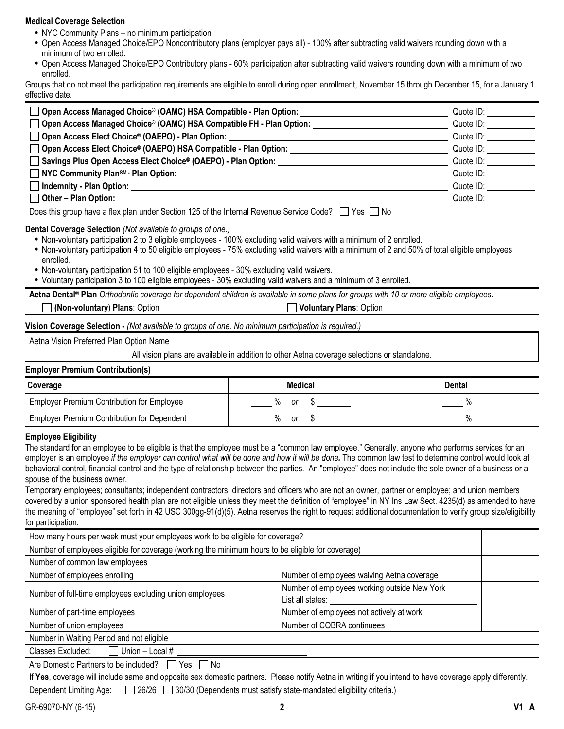# Medical Coverage Selection

- NYC Community Plans no minimum participation
- Open Access Managed Choice/EPO Noncontributory plans (employer pays all) 100% after subtracting valid waivers rounding down with a minimum of two enrolled.
- Open Access Managed Choice/EPO Contributory plans 60% participation after subtracting valid waivers rounding down with a minimum of two enrolled.

Groups that do not meet the participation requirements are eligible to enroll during open enrollment, November 15 through December 15, for a January 1 effective date.

| ◯ Open Access Managed Choice® (OAMC) HSA Compatible - Plan Option:                                      | Quote ID: |
|---------------------------------------------------------------------------------------------------------|-----------|
| □ Open Access Managed Choice® (OAMC) HSA Compatible FH - Plan Option:                                   | Quote ID: |
| □ Open Access Elect Choice® (OAEPO) - Plan Option:                                                      | Quote ID: |
| Open Access Elect Choice® (OAEPO) HSA Compatible - Plan Option:                                         | Quote ID: |
| Savings Plus Open Access Elect Choice® (OAEPO) - Plan Option:                                           | Quote ID: |
| $\Box$ NYC Community PlansM $\cdot$ Plan Option:                                                        | Quote ID: |
| Indemnity - Plan Option:                                                                                | Quote ID: |
| $\Box$ Other – Plan Option:                                                                             | Quote ID: |
| Does this group have a flex plan under Section 125 of the Internal Revenue Service Code?  <br>$Yes \tN$ |           |

# Dental Coverage Selection (Not available to groups of one.)

• Non-voluntary participation 2 to 3 eligible employees - 100% excluding valid waivers with a minimum of 2 enrolled.

- Non-voluntary participation 4 to 50 eligible employees 75% excluding valid waivers with a minimum of 2 and 50% of total eligible employees enrolled.
- Non-voluntary participation 51 to 100 eligible employees 30% excluding valid waivers.
- Voluntary participation 3 to 100 eligible employees 30% excluding valid waivers and a minimum of 3 enrolled.

Aetna Dental® Plan Orthodontic coverage for dependent children is available in some plans for groups with 10 or more eligible employees. (Non-voluntary) Plans: Option Voluntary Plans: Option Voluntary Plans: Option

Vision Coverage Selection - (Not available to groups of one. No minimum participation is required.)

Aetna Vision Preferred Plan Option Name

All vision plans are available in addition to other Aetna coverage selections or standalone.

### Employer Premium Contribution(s)

| Coverage                                          | <b>Medical</b> | Dental |
|---------------------------------------------------|----------------|--------|
| <b>Employer Premium Contribution for Employee</b> | Οľ             |        |
| Employer Premium Contribution for Dependent       | 0ľ             |        |

# Employee Eligibility

The standard for an employee to be eligible is that the employee must be a "common law employee." Generally, anyone who performs services for an employer is an employee if the employer can control what will be done and how it will be done. The common law test to determine control would look at behavioral control, financial control and the type of relationship between the parties. An "employee" does not include the sole owner of a business or a spouse of the business owner.

Temporary employees; consultants; independent contractors; directors and officers who are not an owner, partner or employee; and union members covered by a union sponsored health plan are not eligible unless they meet the definition of "employee" in NY Ins Law Sect. 4235(d) as amended to have the meaning of "employee" set forth in 42 USC 300gg-91(d)(5). Aetna reserves the right to request additional documentation to verify group size/eligibility for participation.

| How many hours per week must your employees work to be eligible for coverage?                                                                           |                                                                  |  |  |
|---------------------------------------------------------------------------------------------------------------------------------------------------------|------------------------------------------------------------------|--|--|
| Number of employees eligible for coverage (working the minimum hours to be eligible for coverage)                                                       |                                                                  |  |  |
| Number of common law employees                                                                                                                          |                                                                  |  |  |
| Number of employees enrolling                                                                                                                           | Number of employees waiving Aetna coverage                       |  |  |
| Number of full-time employees excluding union employees                                                                                                 | Number of employees working outside New York<br>List all states: |  |  |
| Number of part-time employees                                                                                                                           | Number of employees not actively at work                         |  |  |
| Number of union employees                                                                                                                               | Number of COBRA continuees                                       |  |  |
| Number in Waiting Period and not eligible                                                                                                               |                                                                  |  |  |
| Classes Excluded: $\Box$ Union – Local #                                                                                                                |                                                                  |  |  |
| Are Domestic Partners to be included?<br>Yes I INo                                                                                                      |                                                                  |  |  |
| If Yes, coverage will include same and opposite sex domestic partners. Please notify Aetna in writing if you intend to have coverage apply differently. |                                                                  |  |  |
| 26/26 30/30 (Dependents must satisfy state-mandated eligibility criteria.)<br>Dependent Limiting Age:                                                   |                                                                  |  |  |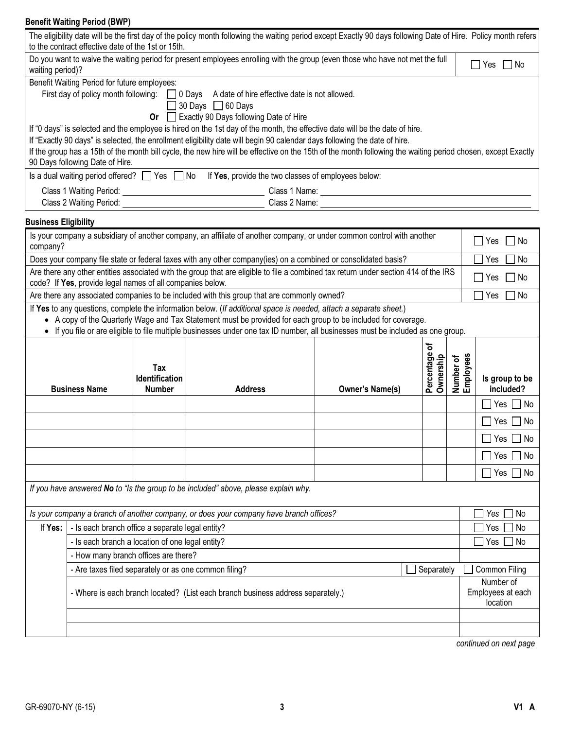# Benefit Waiting Period (BWP)

| to the contract effective date of the 1st or 15th.                                                                                                                       |                              | The eligibility date will be the first day of the policy month following the waiting period except Exactly 90 days following Date of Hire. Policy month refers |                        |                           |                        |                                |
|--------------------------------------------------------------------------------------------------------------------------------------------------------------------------|------------------------------|----------------------------------------------------------------------------------------------------------------------------------------------------------------|------------------------|---------------------------|------------------------|--------------------------------|
| Do you want to waive the waiting period for present employees enrolling with the group (even those who have not met the full<br>$\Box$ Yes $\Box$ No<br>waiting period)? |                              |                                                                                                                                                                |                        |                           |                        |                                |
| Benefit Waiting Period for future employees:                                                                                                                             |                              |                                                                                                                                                                |                        |                           |                        |                                |
|                                                                                                                                                                          |                              | First day of policy month following: 0 Days A date of hire effective date is not allowed.                                                                      |                        |                           |                        |                                |
|                                                                                                                                                                          |                              | $\Box$ 30 Days $\Box$ 60 Days                                                                                                                                  |                        |                           |                        |                                |
|                                                                                                                                                                          |                              | Or <b>D</b> Exactly 90 Days following Date of Hire                                                                                                             |                        |                           |                        |                                |
|                                                                                                                                                                          |                              | If "0 days" is selected and the employee is hired on the 1st day of the month, the effective date will be the date of hire.                                    |                        |                           |                        |                                |
|                                                                                                                                                                          |                              | If "Exactly 90 days" is selected, the enrollment eligibility date will begin 90 calendar days following the date of hire.                                      |                        |                           |                        |                                |
|                                                                                                                                                                          |                              | If the group has a 15th of the month bill cycle, the new hire will be effective on the 15th of the month following the waiting period chosen, except Exactly   |                        |                           |                        |                                |
| 90 Days following Date of Hire.                                                                                                                                          |                              | Is a dual waiting period offered? $\Box$ Yes $\Box$ No If Yes, provide the two classes of employees below:                                                     |                        |                           |                        |                                |
|                                                                                                                                                                          |                              |                                                                                                                                                                |                        |                           |                        |                                |
|                                                                                                                                                                          |                              |                                                                                                                                                                |                        |                           |                        |                                |
| <b>Business Eligibility</b>                                                                                                                                              |                              |                                                                                                                                                                |                        |                           |                        |                                |
|                                                                                                                                                                          |                              | Is your company a subsidiary of another company, an affiliate of another company, or under common control with another                                         |                        |                           |                        | Yes<br>l No                    |
| company?                                                                                                                                                                 |                              |                                                                                                                                                                |                        |                           |                        |                                |
|                                                                                                                                                                          |                              | Does your company file state or federal taxes with any other company(ies) on a combined or consolidated basis?                                                 |                        |                           |                        | No<br>Yes                      |
| code? If Yes, provide legal names of all companies below.                                                                                                                |                              | Are there any other entities associated with the group that are eligible to file a combined tax return under section 414 of the IRS                            |                        |                           |                        | No<br>Yes                      |
|                                                                                                                                                                          |                              | Are there any associated companies to be included with this group that are commonly owned?                                                                     |                        |                           |                        | Yes<br>No                      |
|                                                                                                                                                                          |                              | If Yes to any questions, complete the information below. (If additional space is needed, attach a separate sheet.)                                             |                        |                           |                        |                                |
|                                                                                                                                                                          |                              | • A copy of the Quarterly Wage and Tax Statement must be provided for each group to be included for coverage.                                                  |                        |                           |                        |                                |
|                                                                                                                                                                          |                              | • If you file or are eligible to file multiple businesses under one tax ID number, all businesses must be included as one group.                               |                        |                           |                        |                                |
|                                                                                                                                                                          |                              |                                                                                                                                                                |                        | ᡃᡃŏ                       |                        |                                |
|                                                                                                                                                                          |                              |                                                                                                                                                                |                        |                           |                        |                                |
|                                                                                                                                                                          | Tax<br><b>Identification</b> |                                                                                                                                                                |                        | Percentage o<br>Ownership | Number of<br>Employees | Is group to be                 |
| <b>Business Name</b>                                                                                                                                                     | <b>Number</b>                | <b>Address</b>                                                                                                                                                 | <b>Owner's Name(s)</b> |                           |                        | included?                      |
|                                                                                                                                                                          |                              |                                                                                                                                                                |                        |                           |                        |                                |
|                                                                                                                                                                          |                              |                                                                                                                                                                |                        |                           |                        | Yes $\Box$ No                  |
|                                                                                                                                                                          |                              |                                                                                                                                                                |                        |                           |                        | Yes  <br>No                    |
|                                                                                                                                                                          |                              |                                                                                                                                                                |                        |                           |                        | Yes $\Box$ No                  |
|                                                                                                                                                                          |                              |                                                                                                                                                                |                        |                           |                        | $\Box$ Yes $\Box$<br>$\Box$ No |
|                                                                                                                                                                          |                              |                                                                                                                                                                |                        |                           |                        | $\Box$ No<br>Yes [             |
|                                                                                                                                                                          |                              | If you have answered No to "Is the group to be included" above, please explain why.                                                                            |                        |                           |                        |                                |
|                                                                                                                                                                          |                              | Is your company a branch of another company, or does your company have branch offices?                                                                         |                        |                           |                        | No<br>Yes                      |
| - Is each branch office a separate legal entity?<br>If Yes:                                                                                                              |                              |                                                                                                                                                                |                        |                           |                        | Yes<br>No                      |
|                                                                                                                                                                          |                              |                                                                                                                                                                |                        |                           |                        | No<br>Yes                      |
| - Is each branch a location of one legal entity?                                                                                                                         |                              |                                                                                                                                                                |                        |                           |                        |                                |
| - How many branch offices are there?                                                                                                                                     |                              | - Are taxes filed separately or as one common filing?                                                                                                          |                        | Separately                |                        | Common Filing                  |
|                                                                                                                                                                          |                              |                                                                                                                                                                |                        |                           |                        | Number of                      |
|                                                                                                                                                                          |                              | - Where is each branch located? (List each branch business address separately.)                                                                                |                        |                           |                        | Employees at each<br>location  |
|                                                                                                                                                                          |                              |                                                                                                                                                                |                        |                           |                        |                                |
|                                                                                                                                                                          |                              |                                                                                                                                                                |                        |                           |                        |                                |

continued on next page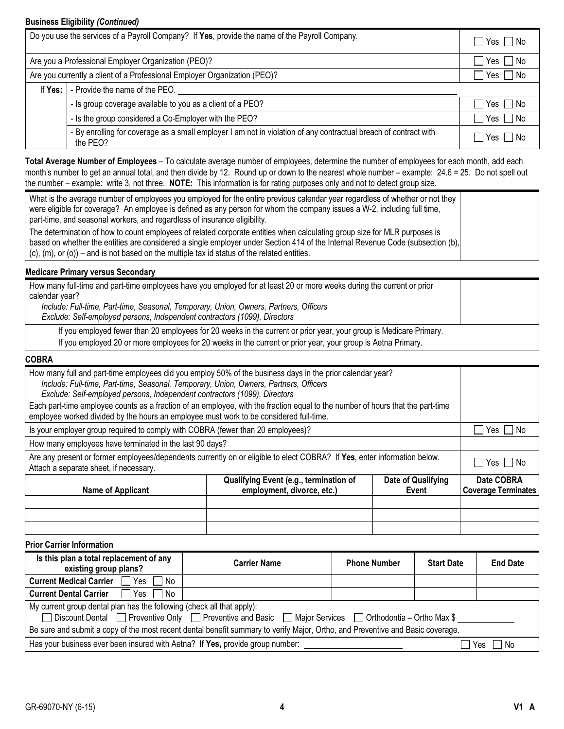# Business Eligibility (Continued)

|             | Do you use the services of a Payroll Company? If Yes, provide the name of the Payroll Company.                               | $\sqsupset$ Yes $\sqcap$ No |
|-------------|------------------------------------------------------------------------------------------------------------------------------|-----------------------------|
|             | Are you a Professional Employer Organization (PEO)?                                                                          | $\Box$ Yes $\Box$ No        |
|             | Are you currently a client of a Professional Employer Organization (PEO)?                                                    | $\Box$ Yes $\Box$ No        |
| If Yes: $ $ | - Provide the name of the PEO.                                                                                               |                             |
|             | - Is group coverage available to you as a client of a PEO?                                                                   | $\Box$ Yes $\Box$ No        |
|             | - Is the group considered a Co-Employer with the PEO?                                                                        | $\Box$ Yes $\Box$ No        |
|             | - By enrolling for coverage as a small employer I am not in violation of any contractual breach of contract with<br>the PEO? | Yes No                      |

Total Average Number of Employees - To calculate average number of employees, determine the number of employees for each month, add each month's number to get an annual total, and then divide by 12. Round up or down to the nearest whole number – example: 24.6 = 25. Do not spell out the number – example: write 3, not three. NOTE: This information is for rating purposes only and not to detect group size.

| What is the average number of employees you employed for the entire previous calendar year regardless of whether or not they<br>were eligible for coverage? An employee is defined as any person for whom the company issues a W-2, including full time,<br>part-time, and seasonal workers, and regardless of insurance eligibility.                         |  |
|---------------------------------------------------------------------------------------------------------------------------------------------------------------------------------------------------------------------------------------------------------------------------------------------------------------------------------------------------------------|--|
| The determination of how to count employees of related corporate entities when calculating group size for MLR purposes is<br>based on whether the entities are considered a single employer under Section 414 of the Internal Revenue Code (subsection (b),<br>$(c)$ , (m), or (o)) – and is not based on the multiple tax id status of the related entities. |  |

# Medicare Primary versus Secondary

| How many full-time and part-time employees have you employed for at least 20 or more weeks during the current or prior<br>calendar year?                                                                                           |  |
|------------------------------------------------------------------------------------------------------------------------------------------------------------------------------------------------------------------------------------|--|
| Include: Full-time, Part-time, Seasonal, Temporary, Union, Owners, Partners, Officers<br>Exclude: Self-employed persons, Independent contractors (1099), Directors                                                                 |  |
| If you employed fewer than 20 employees for 20 weeks in the current or prior year, your group is Medicare Primary.<br>If you employed 20 or more employees for 20 weeks in the current or prior year, your group is Aetna Primary. |  |

# COBRA

| employee worked divided by the hours an employee must work to be considered full-time.<br>Is your employer group required to comply with COBRA (fewer than 20 employees)?                                                     |                                          |  |  |
|-------------------------------------------------------------------------------------------------------------------------------------------------------------------------------------------------------------------------------|------------------------------------------|--|--|
| How many employees have terminated in the last 90 days?<br>Are any present or former employees/dependents currently on or eligible to elect COBRA? If Yes, enter information below.<br>Attach a separate sheet, if necessary. |                                          |  |  |
| <b>Name of Applicant</b>                                                                                                                                                                                                      | Date COBRA<br><b>Coverage Terminates</b> |  |  |
|                                                                                                                                                                                                                               |                                          |  |  |
|                                                                                                                                                                                                                               |                                          |  |  |

Prior Carrier Information

| Is this plan a total replacement of any<br>existing group plans?                                                                                                                   | <b>Carrier Name</b> | <b>Phone Number</b> | <b>Start Date</b> | <b>End Date</b> |  |
|------------------------------------------------------------------------------------------------------------------------------------------------------------------------------------|---------------------|---------------------|-------------------|-----------------|--|
| <b>Current Medical Carrier</b> $\Box$ Yes $\Box$ No                                                                                                                                |                     |                     |                   |                 |  |
| <b>Current Dental Carrier</b> $\Box$ Yes $\Box$ No                                                                                                                                 |                     |                     |                   |                 |  |
| My current group dental plan has the following (check all that apply):<br>□ Discount Dental □ Preventive Only □ Preventive and Basic □ Major Services □ Orthodontia – Ortho Max \$ |                     |                     |                   |                 |  |
| Be sure and submit a copy of the most recent dental benefit summary to verify Major, Ortho, and Preventive and Basic coverage.                                                     |                     |                     |                   |                 |  |
| Has your business ever been insured with Aetna? If Yes, provide group number:                                                                                                      |                     |                     |                   | . No            |  |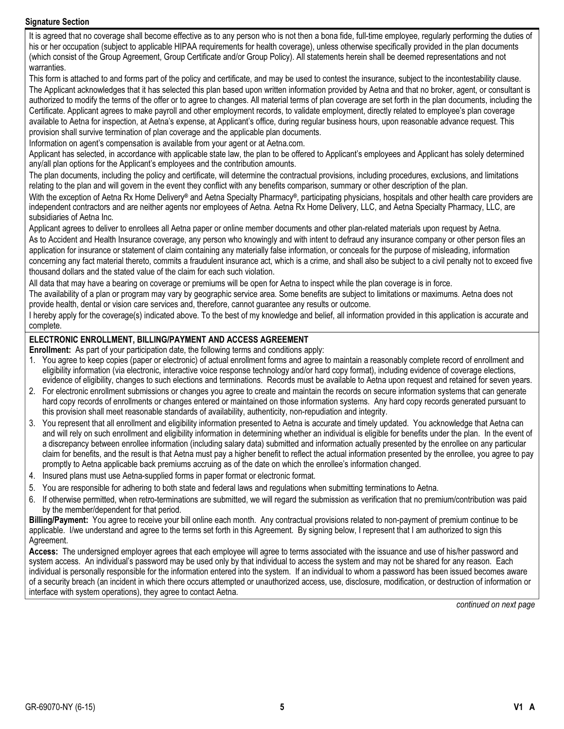# Signature Section

It is agreed that no coverage shall become effective as to any person who is not then a bona fide, full-time employee, regularly performing the duties of his or her occupation (subject to applicable HIPAA requirements for health coverage), unless otherwise specifically provided in the plan documents (which consist of the Group Agreement, Group Certificate and/or Group Policy). All statements herein shall be deemed representations and not warranties.

This form is attached to and forms part of the policy and certificate, and may be used to contest the insurance, subject to the incontestability clause. The Applicant acknowledges that it has selected this plan based upon written information provided by Aetna and that no broker, agent, or consultant is authorized to modify the terms of the offer or to agree to changes. All material terms of plan coverage are set forth in the plan documents, including the Certificate. Applicant agrees to make payroll and other employment records, to validate employment, directly related to employee's plan coverage available to Aetna for inspection, at Aetna's expense, at Applicant's office, during regular business hours, upon reasonable advance request. This provision shall survive termination of plan coverage and the applicable plan documents.

Information on agent's compensation is available from your agent or at Aetna.com.

Applicant has selected, in accordance with applicable state law, the plan to be offered to Applicant's employees and Applicant has solely determined any/all plan options for the Applicant's employees and the contribution amounts.

The plan documents, including the policy and certificate, will determine the contractual provisions, including procedures, exclusions, and limitations relating to the plan and will govern in the event they conflict with any benefits comparison, summary or other description of the plan.

With the exception of Aetna Rx Home Delivery® and Aetna Specialty Pharmacy®, participating physicians, hospitals and other health care providers are independent contractors and are neither agents nor employees of Aetna. Aetna Rx Home Delivery, LLC, and Aetna Specialty Pharmacy, LLC, are subsidiaries of Aetna Inc.

Applicant agrees to deliver to enrollees all Aetna paper or online member documents and other plan-related materials upon request by Aetna.

As to Accident and Health Insurance coverage, any person who knowingly and with intent to defraud any insurance company or other person files an application for insurance or statement of claim containing any materially false information, or conceals for the purpose of misleading, information concerning any fact material thereto, commits a fraudulent insurance act, which is a crime, and shall also be subject to a civil penalty not to exceed five thousand dollars and the stated value of the claim for each such violation.

All data that may have a bearing on coverage or premiums will be open for Aetna to inspect while the plan coverage is in force.

The availability of a plan or program may vary by geographic service area. Some benefits are subject to limitations or maximums. Aetna does not provide health, dental or vision care services and, therefore, cannot guarantee any results or outcome.

I hereby apply for the coverage(s) indicated above. To the best of my knowledge and belief, all information provided in this application is accurate and complete.

# ELECTRONIC ENROLLMENT, BILLING/PAYMENT AND ACCESS AGREEMENT

Enrollment: As part of your participation date, the following terms and conditions apply:

- 1. You agree to keep copies (paper or electronic) of actual enrollment forms and agree to maintain a reasonably complete record of enrollment and eligibility information (via electronic, interactive voice response technology and/or hard copy format), including evidence of coverage elections, evidence of eligibility, changes to such elections and terminations. Records must be available to Aetna upon request and retained for seven years.
- 2. For electronic enrollment submissions or changes you agree to create and maintain the records on secure information systems that can generate hard copy records of enrollments or changes entered or maintained on those information systems. Any hard copy records generated pursuant to this provision shall meet reasonable standards of availability, authenticity, non-repudiation and integrity.
- 3. You represent that all enrollment and eligibility information presented to Aetna is accurate and timely updated. You acknowledge that Aetna can and will rely on such enrollment and eligibility information in determining whether an individual is eligible for benefits under the plan. In the event of a discrepancy between enrollee information (including salary data) submitted and information actually presented by the enrollee on any particular claim for benefits, and the result is that Aetna must pay a higher benefit to reflect the actual information presented by the enrollee, you agree to pay promptly to Aetna applicable back premiums accruing as of the date on which the enrollee's information changed.
- 4. Insured plans must use Aetna-supplied forms in paper format or electronic format.
- 5. You are responsible for adhering to both state and federal laws and regulations when submitting terminations to Aetna.
- 6. If otherwise permitted, when retro-terminations are submitted, we will regard the submission as verification that no premium/contribution was paid by the member/dependent for that period.

Billing/Payment: You agree to receive your bill online each month. Any contractual provisions related to non-payment of premium continue to be applicable. I/we understand and agree to the terms set forth in this Agreement. By signing below, I represent that I am authorized to sign this Agreement.

Access: The undersigned employer agrees that each employee will agree to terms associated with the issuance and use of his/her password and system access. An individual's password may be used only by that individual to access the system and may not be shared for any reason. Each individual is personally responsible for the information entered into the system. If an individual to whom a password has been issued becomes aware of a security breach (an incident in which there occurs attempted or unauthorized access, use, disclosure, modification, or destruction of information or interface with system operations), they agree to contact Aetna.

continued on next page